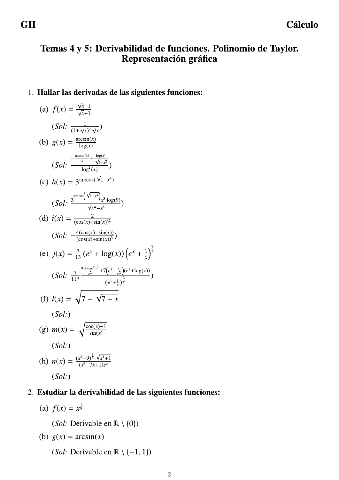# Temas 4 y 5: Derivabilidad de funciones. Polinomio de Taylor. Representación gráfica

### 1. Hallar las derivadas de las siguientes funciones:

(a) 
$$
f(x) = \frac{\sqrt{x} - 1}{\sqrt{x} + 1}
$$
  
\n $(Sol: \frac{1}{(1 + \sqrt{x})^2 \sqrt{x}})$   
\n(b)  $g(x) = \frac{\arcsin(x)}{\log(x)}$   
\n $(Sol: \frac{-\arcsin(x)}{-\log^2(x)} + \frac{\log(x)}{\sqrt{1 - x^2}})$   
\n(c)  $h(x) = 3^{\arccos(\sqrt{1 - x^4})}$   
\n $(Sol: \frac{3^{\arccos(\sqrt{1 - x^4}}) x^3 \log(9)}{\sqrt{x^4 - x^8}}$ )  
\n(d)  $i(x) = \frac{2}{(\cos(x) + \sin(x))^2}$   
\n $(Sol: -\frac{4(\cos(x) - \sin(x))}{(\cos(x) + \sin(x))^3})$   
\n(e)  $j(x) = \frac{7}{13} (e^x + \log(x)) (e^x + \frac{1}{x})^{\frac{7}{9}}$   
\n $(Sol: \frac{7}{117} - \frac{9(1 + xe^x)^2}{x^2} + 7(e^x - \frac{1}{xe})(e^x + \log(x))}{(e^x + \frac{1}{x})^{\frac{2}{9}}}$ )  
\n(f)  $l(x) = \sqrt{7 - \sqrt{7 - x}}$   
\n(Sol:  
\n(g)  $m(x) = \sqrt{\frac{\cos(x) - 1}{\sin(x)}}$   
\n(gol:  
\n(h)  $n(x) = \frac{(x^2 - 9)^{\frac{1}{3}} \sqrt{x^3 + 1}}{(x^6 - 7x + 1)e^x}$   
\n(Sol:  
\n(h)  $n(x) = \frac{(x^2 - 9)^{\frac{1}{3}} \sqrt{x^3 + 1}}{(x^6 - 7x + 1)e^x}$ 

# 2. Estudiar la derivabilidad de las siguientes funciones:

(a)  $f(x) = x^{\frac{1}{9}}$ 

(Sol: Derivable en  $\mathbb{R} \setminus \{0\}$ )

(b) 
$$
g(x) = \arcsin(x)
$$

(*Sol:* Derivable en  $\mathbb{R} \setminus \{-1, 1\}$ )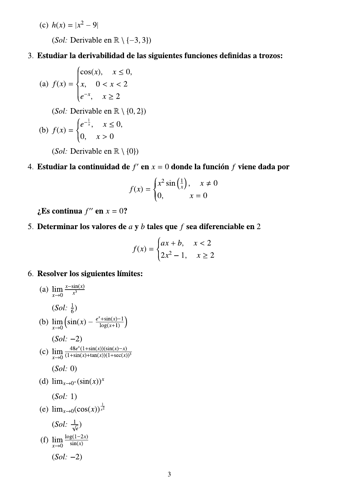(c)  $h(x) = |x^2 - 9|$ (Sol: Derivable en  $\mathbb{R} \setminus \{-3, 3\}$ )

### 3. Estudiar la derivabilidad de las siguientes funciones definidas a trozos:

(a) 
$$
f(x) = \begin{cases} \cos(x), & x \le 0, \\ x, & 0 < x < 2 \\ e^{-x}, & x \ge 2 \end{cases}
$$
  
(Sol: Derivable en R \ (0, 2))  
(b) 
$$
f(x) = \begin{cases} e^{-\frac{1}{x}}, & x \le 0, \\ 0, & x > 0 \end{cases}
$$
  
(Sol: Derivable en R \ (0))

4. Estudiar la continuidad de  $f'$  en  $x = 0$  donde la función  $f$  viene dada por

$$
f(x) = \begin{cases} x^2 \sin\left(\frac{1}{x}\right), & x \neq 0\\ 0, & x = 0 \end{cases}
$$

 $\mathbf i$ Es continua  $f''$  en  $x = 0$ ?

5. Determinar los valores de  $a \, y \, b$  tales que  $f$  sea diferenciable en 2

$$
f(x) = \begin{cases} ax + b, & x < 2 \\ 2x^2 - 1, & x \ge 2 \end{cases}
$$

6. Resolver los siguientes límites:

(a) 
$$
\lim_{x \to 0} \frac{x - \sin(x)}{x^3}
$$
  
\n(Sol:  $\frac{1}{6}$ )  
\n(b)  $\lim_{x \to 0} (\sin(x) - \frac{e^x + \sin(x) - 1}{\log(x+1)})$   
\n(Sol: -2)  
\n(c)  $\lim_{x \to 0} \frac{48e^x(1 + \sin(x))(\sin(x) - x)}{(1 + \sin(x) + \tan(x)) (1 + \sec(x))^3}$   
\n(Sol: 0)  
\n(d)  $\lim_{x \to 0^+} (\sin(x))^x$   
\n(Sol: 1)  
\n(e)  $\lim_{x \to 0} (\cos(x))^{\frac{1}{x^2}}$   
\n(Sol:  $\frac{1}{\sqrt{e}}$ )  
\n(f)  $\lim_{x \to 0} \frac{\log(1-2x)}{\sin(x)}$   
\n(Sol: -2)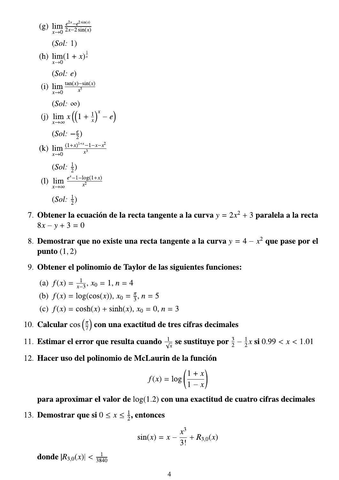(g) 
$$
\lim_{x \to 0} \frac{e^{2x} - e^{2\sin(x)}}{2x - 2\sin(x)}
$$
  
\n(Sol: 1)  
\n(h) 
$$
\lim_{x \to 0} (1 + x)^{\frac{1}{x}}
$$
  
\n(Sol: e)  
\n(i) 
$$
\lim_{x \to 0} \frac{\tan(x) - \sin(x)}{x^5}
$$
  
\n(Sol:  $\infty$ )  
\n(j) 
$$
\lim_{x \to \infty} x ((1 + \frac{1}{x})^x - e)
$$
  
\n(Sol:  $-\frac{e}{2}$ )  
\n(k) 
$$
\lim_{x \to 0} \frac{(1 + x)^{1 + x} - 1 - x - x^2}{x^3}
$$
  
\n(Sol:  $\frac{1}{2}$ )  
\n(l) 
$$
\lim_{x \to \infty} \frac{e^{x} - 1 - \log(1 + x)}{x^2}
$$
  
\n(Sol:  $\frac{1}{2}$ )  
\n(Sol:  $\frac{1}{2}$ )

- 7. Obtener la ecuación de la recta tangente a la curva  $y = 2x^2 + 3$  paralela a la recta  $8x - y + 3 = 0$
- 8. Demostrar que no existe una recta tangente a la curva  $y = 4 x^2$  que pase por el punto  $(1, 2)$
- 9. Obtener el polinomio de Taylor de las siguientes funciones:
	- (a)  $f(x) = \frac{1}{x-3}$ ,  $x_0 = 1$ ,  $n = 4$
	- (b)  $f(x) = \log(\cos(x))$ ,  $x_0 = \frac{\pi}{3}$ ,  $n = 5$
	- (c)  $f(x) = \cosh(x) + \sinh(x), x_0 = 0, n = 3$
- 10. Calcular  $\cos\left(\frac{\pi}{7}\right)$  con una exactitud de tres cifras decimales
- 11. Estimar el error que resulta cuando  $\frac{1}{\sqrt{x}}$  se sustituye por  $\frac{3}{2} \frac{1}{2}x$  si  $0.99 < x < 1.01$
- 12. Hacer uso del polinomio de McLaurin de la función

$$
f(x) = \log\left(\frac{1+x}{1-x}\right)
$$

para aproximar el valor de  $log(1.2)$  con una exactitud de cuatro cifras decimales

13. Demostrar que si  $0 \le x \le \frac{1}{2}$ , entonces

$$
\sin(x) = x - \frac{x^3}{3!} + R_{3,0}(x)
$$

**donde**  $|R_{3,0}(x)| < \frac{1}{3840}$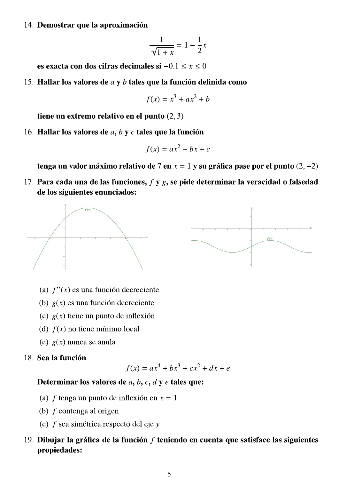14. Demostrar que la aproximación

$$
\frac{1}{\sqrt{1+x}} = 1 - \frac{1}{2}x
$$

es exacta con dos citras decimales si $-0.1 \le x \le 0$ 

15. Hallar los valores

$$
f(x) = x^3 + ax^2 + b
$$

emo relativo en el punto  $(2,3)$ 

16. Hallar los valores de  $a, b$  y  $c$  tales que la funcion

$$
f(x) = ax^2 + bx + c
$$

Demostrar que la aproximación<br>  $\frac{1}{\sqrt{1+x}} = 1 - \frac{1}{2}x$ <br>
es exacta con dos cifras decimales si  $-0.1 \le x \le 0$ <br>
Hallar los valores de *a* y *b* tales que la función definida como<br>  $f(x) = x^3 + ax^2 + b$ <br>
tiene un extremo relativo maximo relativo de / en  $x = 1$  y su grafica pase por el punto  $(2, -2)$ 

 $17.$  Para cada una de las funciones,  $f \mathbf{y} g$ , se pide determinar la veracidad o falsedad de los siguientes enunciados:



- 
- (b)  $g(x)$  es una función decreciente
- (c)  $g(x)$  tiene un punto de inflexión
- 
- (e)  $g(x)$  nunca se anula

#### 18. Sea la función

$$
f(x) = ax^4 + bx^3 + cx^2 + dx + e
$$

# Determinar los valores de  $a, b, c, d$  y e tales que:

- 
- 
- 
- (a)  $f(x)$  es una función decreciente<br>
(b)  $g(x)$  es una función decreciente<br>
(c)  $g(x)$  tiene un punto de inflexión<br>
(b)  $f(x)$  no tiene mínimo local<br>
(c)  $g(x)$  nunca se anula<br>
(a) la función<br>
(c)  $f(x) = ax^4 + bx^3 + cx^2 +$ <br>
(e)  $f(x$ (d)  $f(x)$  no tiene mínimo local<br>
(e)  $g(x)$  nunca se anula<br>
18. **Sea la función**<br>  $f(x) = ax^4 + bx^3$ <br> **Determinar los valores de** a, b, c, d y e tale<br>
(a) f tenga un punto de inflexión en x = 1<br>
(b) f contenga al origen<br>
(c) f 18. Sea la función<br>  $f(x) = ax^4$ .<br> **Determinar los valores de** a, b, c, d y<br>
(a) f tenga un punto de inflexión en x<br>
(b) f contenga al origen<br>
(c) f sea simétrica respecto del eje y<br>
19. **Dibujar la gráfica de la función** f 19. Dibujar la gra  $f(x) = ax^4 + bx^3 + cx^2 + dx + e$ <br>
ar los valores de *a*, *b*, *c*, *d y e* tales que:<br>
ga un punto de inflexión en *x* = 1<br>
tenga al origen<br>
simétrica respecto del eje y<br>
a gráfica de la función *f* teniendo en cuenta que satisf propiedades: